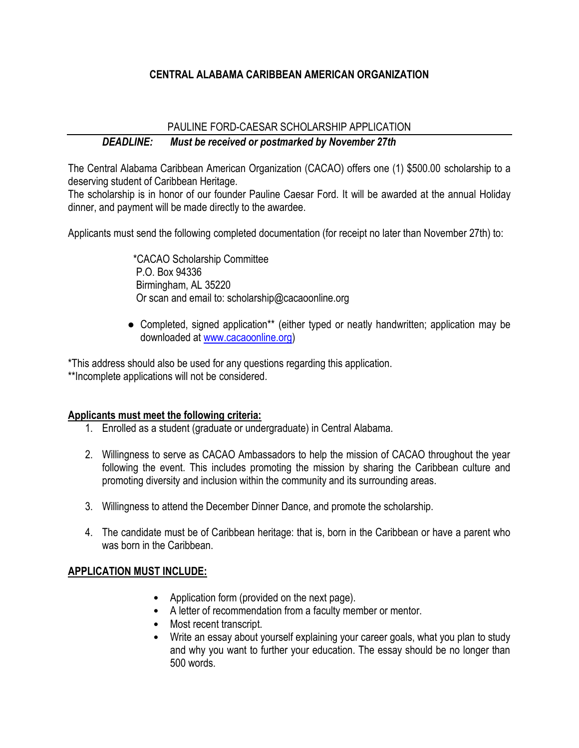### **CENTRAL ALABAMA CARIBBEAN AMERICAN ORGANIZATION**

# PAULINE FORD-CAESAR SCHOLARSHIP APPLICATION *DEADLINE: Must be received or postmarked by November 27th*

The Central Alabama Caribbean American Organization (CACAO) offers one (1) \$500.00 scholarship to a deserving student of Caribbean Heritage.

The scholarship is in honor of our founder Pauline Caesar Ford. It will be awarded at the annual Holiday dinner, and payment will be made directly to the awardee.

Applicants must send the following completed documentation (for receipt no later than November 27th) to:

 \*CACAO Scholarship Committee P.O. Box 94336 Birmingham, AL 35220 Or scan and email to: scholarship@cacaoonline.org

• Completed, signed application\*\* (either typed or neatly handwritten; application may be downloaded at [www.cacaoonline.org\)](http://www.cacaoonline.org/)

\*This address should also be used for any questions regarding this application.

\*\*Incomplete applications will not be considered.

### **Applicants must meet the following criteria:**

- 1. Enrolled as a student (graduate or undergraduate) in Central Alabama.
- 2. Willingness to serve as CACAO Ambassadors to help the mission of CACAO throughout the year following the event. This includes promoting the mission by sharing the Caribbean culture and promoting diversity and inclusion within the community and its surrounding areas.
- 3. Willingness to attend the December Dinner Dance, and promote the scholarship.
- 4. The candidate must be of Caribbean heritage: that is, born in the Caribbean or have a parent who was born in the Caribbean.

## **APPLICATION MUST INCLUDE:**

- Application form (provided on the next page).
- A letter of recommendation from a faculty member or mentor.
- Most recent transcript.
- Write an essay about yourself explaining your career goals, what you plan to study and why you want to further your education. The essay should be no longer than 500 words.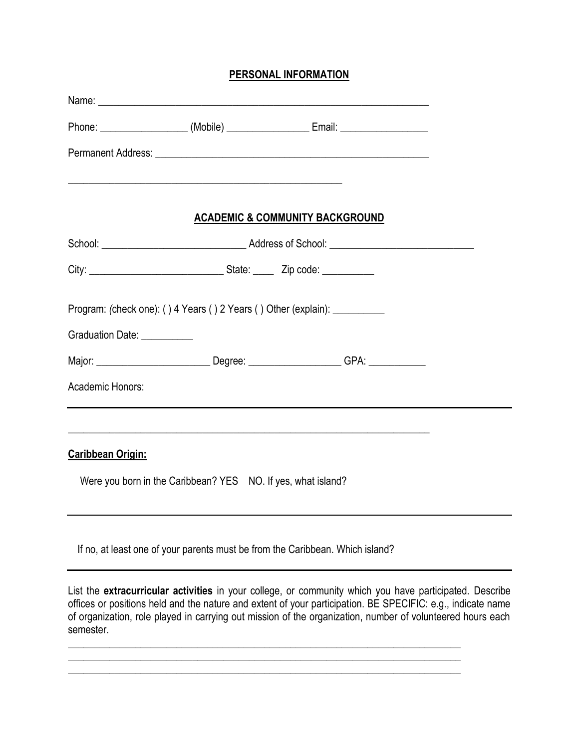#### **PERSONAL INFORMATION**

|                                                                                                                |                                                                                                                       | Phone: ____________________(Mobile) _____________________Email: ________________        |  |  |
|----------------------------------------------------------------------------------------------------------------|-----------------------------------------------------------------------------------------------------------------------|-----------------------------------------------------------------------------------------|--|--|
|                                                                                                                |                                                                                                                       |                                                                                         |  |  |
|                                                                                                                | <u> 1989 - Johann Harry Harry Harry Harry Harry Harry Harry Harry Harry Harry Harry Harry Harry Harry Harry Harry</u> |                                                                                         |  |  |
|                                                                                                                |                                                                                                                       | <b>ACADEMIC &amp; COMMUNITY BACKGROUND</b>                                              |  |  |
|                                                                                                                |                                                                                                                       |                                                                                         |  |  |
|                                                                                                                |                                                                                                                       |                                                                                         |  |  |
|                                                                                                                |                                                                                                                       | Program: (check one): () 4 Years () 2 Years () Other (explain): ___________             |  |  |
| Graduation Date: Canada Canada and Canada Canada and Canada and Canada and Canada and Canada and Canada and Ca |                                                                                                                       |                                                                                         |  |  |
|                                                                                                                |                                                                                                                       | Major: _______________________________Degree: _______________________GPA: _____________ |  |  |
| Academic Honors:                                                                                               |                                                                                                                       |                                                                                         |  |  |
|                                                                                                                |                                                                                                                       |                                                                                         |  |  |
| <b>Caribbean Origin:</b>                                                                                       |                                                                                                                       |                                                                                         |  |  |
|                                                                                                                | Were you born in the Caribbean? YES NO. If yes, what island?                                                          |                                                                                         |  |  |
|                                                                                                                |                                                                                                                       | If no, at least one of your parents must be from the Caribbean. Which island?           |  |  |

List the **extracurricular activities** in your college, or community which you have participated. Describe offices or positions held and the nature and extent of your participation. BE SPECIFIC: e.g., indicate name of organization, role played in carrying out mission of the organization, number of volunteered hours each semester.

*\_\_\_\_\_\_\_\_\_\_\_\_\_\_\_\_\_\_\_\_\_\_\_\_\_\_\_\_\_\_\_\_\_\_\_\_\_\_\_\_\_\_\_\_\_\_\_\_\_\_\_\_\_\_\_\_\_\_\_\_\_\_\_\_\_\_\_\_\_\_\_\_\_\_\_\_* 

*\_\_\_\_\_\_\_\_\_\_\_\_\_\_\_\_\_\_\_\_\_\_\_\_\_\_\_\_\_\_\_\_\_\_\_\_\_\_\_\_\_\_\_\_\_\_\_\_\_\_\_\_\_\_\_\_\_\_\_\_\_\_\_\_\_\_\_\_\_\_\_\_\_\_\_\_* 

*\_\_\_\_\_\_\_\_\_\_\_\_\_\_\_\_\_\_\_\_\_\_\_\_\_\_\_\_\_\_\_\_\_\_\_\_\_\_\_\_\_\_\_\_\_\_\_\_\_\_\_\_\_\_\_\_\_\_\_\_\_\_\_\_\_\_\_\_\_\_\_\_\_\_\_\_*